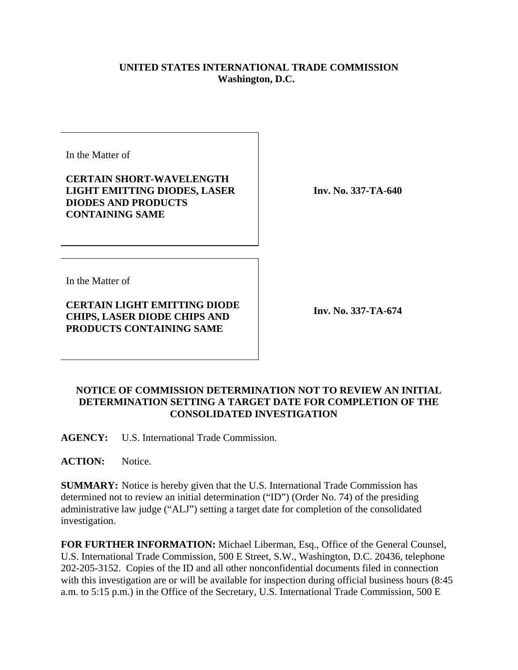## **UNITED STATES INTERNATIONAL TRADE COMMISSION Washington, D.C.**

In the Matter of

**CERTAIN SHORT-WAVELENGTH LIGHT EMITTING DIODES, LASER DIODES AND PRODUCTS CONTAINING SAME**

**Inv. No. 337-TA-640**

In the Matter of

**CERTAIN LIGHT EMITTING DIODE CHIPS, LASER DIODE CHIPS AND PRODUCTS CONTAINING SAME**

**Inv. No. 337-TA-674**

## **NOTICE OF COMMISSION DETERMINATION NOT TO REVIEW AN INITIAL DETERMINATION SETTING A TARGET DATE FOR COMPLETION OF THE CONSOLIDATED INVESTIGATION**

**AGENCY:** U.S. International Trade Commission.

**ACTION:** Notice.

**SUMMARY:** Notice is hereby given that the U.S. International Trade Commission has determined not to review an initial determination ("ID") (Order No. 74) of the presiding administrative law judge ("ALJ") setting a target date for completion of the consolidated investigation.

**FOR FURTHER INFORMATION:** Michael Liberman, Esq., Office of the General Counsel, U.S. International Trade Commission, 500 E Street, S.W., Washington, D.C. 20436, telephone 202-205-3152. Copies of the ID and all other nonconfidential documents filed in connection with this investigation are or will be available for inspection during official business hours (8:45 a.m. to 5:15 p.m.) in the Office of the Secretary, U.S. International Trade Commission, 500 E